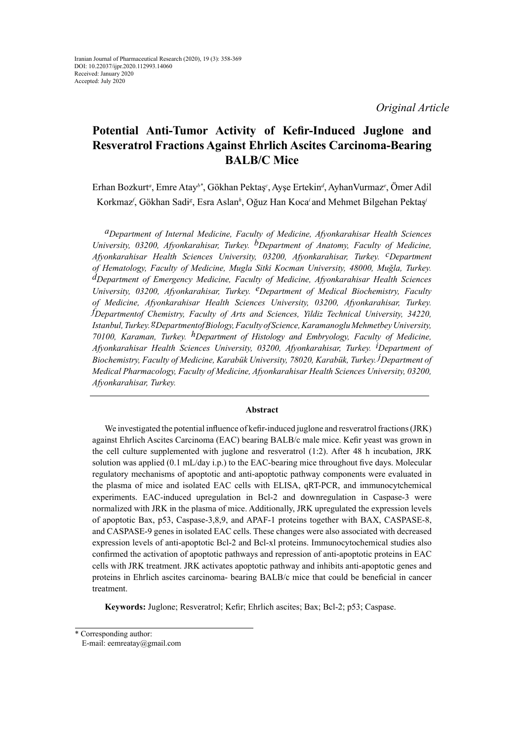*Original Article*

# **Potential Anti-Tumor Activity of Kefir-Induced Juglone and Resveratrol Fractions Against Ehrlich Ascites Carcinoma-Bearing BALB/C Mice**

Erhan Bozkurt<sup>a</sup>, Emre Atay<sup>b\*</sup>, Gökhan Pektaş<sup>c</sup>, Ayşe Ertekin<sup>a</sup>, Ayhan Vurmaz<sup>e</sup>, Ömer Adil Korkmaz*<sup>f</sup>* , Gökhan Sadi*<sup>g</sup>* , Esra Aslan*<sup>h</sup>* , Oğuz Han Koca*<sup>i</sup>*and Mehmet Bilgehan Pektaş*<sup>j</sup>*

*aDepartment of Internal Medicine, Faculty of Medicine, Afyonkarahisar Health Sciences University, 03200, Afyonkarahisar, Turkey. bDepartment of Anatomy, Faculty of Medicine, Afyonkarahisar Health Sciences University, 03200, Afyonkarahisar, Turkey. cDepartment of Hematology, Faculty of Medicine, Mugla Sitki Kocman University, 48000, Muğla, Turkey. dDepartment of Emergency Medicine, Faculty of Medicine, Afyonkarahisar Health Sciences University, 03200, Afyonkarahisar, Turkey. eDepartment of Medical Biochemistry, Faculty of Medicine, Afyonkarahisar Health Sciences University, 03200, Afyonkarahisar, Turkey. f Departmentof Chemistry, Faculty of Arts and Sciences, Yildiz Technical University, 34220, Istanbul, Turkey. gDepartmentof Biology, Faculty of Science, Karamanoglu Mehmetbey University, 70100, Karaman, Turkey. hDepartment of Histology and Embryology, Faculty of Medicine, Afyonkarahisar Health Sciences University, 03200, Afyonkarahisar, Turkey. i Department of Biochemistry, Faculty of Medicine, Karabük University, 78020, Karabük, Turkey. j Department of Medical Pharmacology, Faculty of Medicine, Afyonkarahisar Health Sciences University, 03200, Afyonkarahisar, Turkey.*

## **Abstract**

We investigated the potential influence of kefir-induced juglone and resveratrol fractions (JRK) against Ehrlich Ascites Carcinoma (EAC) bearing BALB/c male mice. Kefir yeast was grown in the cell culture supplemented with juglone and resveratrol (1:2). After 48 h incubation, JRK solution was applied (0.1 mL/day i.p.) to the EAC-bearing mice throughout five days. Molecular regulatory mechanisms of apoptotic and anti-apoptotic pathway components were evaluated in the plasma of mice and isolated EAC cells with ELISA, qRT-PCR, and immunocytchemical experiments. EAC-induced upregulation in Bcl-2 and downregulation in Caspase-3 were normalized with JRK in the plasma of mice. Additionally, JRK upregulated the expression levels of apoptotic Bax, p53, Caspase-3,8,9, and APAF-1 proteins together with BAX, CASPASE-8, and CASPASE-9 genes in isolated EAC cells. These changes were also associated with decreased expression levels of anti-apoptotic Bcl-2 and Bcl-xl proteins. Immunocytochemical studies also confirmed the activation of apoptotic pathways and repression of anti-apoptotic proteins in EAC cells with JRK treatment. JRK activates apoptotic pathway and inhibits anti-apoptotic genes and proteins in Ehrlich ascites carcinoma- bearing BALB/c mice that could be beneficial in cancer treatment.

**Keywords:** Juglone; Resveratrol; Kefir; Ehrlich ascites; Bax; Bcl-2; p53; Caspase.

<sup>\*</sup> Corresponding author:

E-mail: eemreatay@gmail.com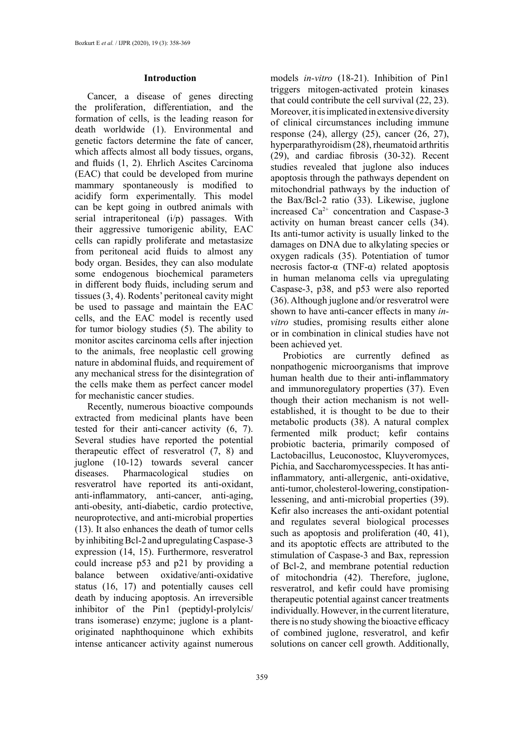## **Introduction**

Cancer, a disease of genes directing the proliferation, differentiation, and the formation of cells, is the leading reason for death worldwide (1). Environmental and genetic factors determine the fate of cancer, which affects almost all body tissues, organs, and fluids (1, 2). Ehrlich Ascites Carcinoma (EAC) that could be developed from murine mammary spontaneously is modified to acidify form experimentally. This model can be kept going in outbred animals with serial intraperitoneal (i/p) passages. With their aggressive tumorigenic ability, EAC cells can rapidly proliferate and metastasize from peritoneal acid fluids to almost any body organ. Besides, they can also modulate some endogenous biochemical parameters in different body fluids, including serum and tissues (3, 4). Rodents' peritoneal cavity might be used to passage and maintain the EAC cells, and the EAC model is recently used for tumor biology studies (5). The ability to monitor ascites carcinoma cells after injection to the animals, free neoplastic cell growing nature in abdominal fluids, and requirement of any mechanical stress for the disintegration of the cells make them as perfect cancer model for mechanistic cancer studies.

Recently, numerous bioactive compounds extracted from medicinal plants have been tested for their anti-cancer activity (6, 7). Several studies have reported the potential therapeutic effect of resveratrol (7, 8) and juglone (10-12) towards several cancer diseases. Pharmacological studies on resveratrol have reported its anti-oxidant, anti-inflammatory, anti-cancer, anti-aging, anti-obesity, anti-diabetic, cardio protective, neuroprotective, and anti-microbial properties (13). It also enhances the death of tumor cells by inhibiting Bcl-2 and upregulating Caspase-3 expression (14, 15). Furthermore, resveratrol could increase p53 and p21 by providing a balance between oxidative/anti-oxidative status (16, 17) and potentially causes cell death by inducing apoptosis. An irreversible inhibitor of the Pin1 (peptidyl-prolylcis/ trans isomerase) enzyme; juglone is a plantoriginated naphthoquinone which exhibits intense anticancer activity against numerous

models *in-vitro* (18-21). Inhibition of Pin1 triggers mitogen-activated protein kinases that could contribute the cell survival (22, 23). Moreover, it is implicated in extensive diversity of clinical circumstances including immune response  $(24)$ , allergy  $(25)$ , cancer  $(26, 27)$ , hyperparathyroidism (28), rheumatoid arthritis (29), and cardiac fibrosis (30-32). Recent studies revealed that juglone also induces apoptosis through the pathways dependent on mitochondrial pathways by the induction of the Bax/Bcl-2 ratio (33). Likewise, juglone increased  $Ca^{2+}$  concentration and Caspase-3 activity on human breast cancer cells (34). Its anti-tumor activity is usually linked to the damages on DNA due to alkylating species or oxygen radicals (35). Potentiation of tumor necrosis factor- $α$  (TNF- $α$ ) related apoptosis in human melanoma cells via upregulating Caspase-3, p38, and p53 were also reported (36). Although juglone and/or resveratrol were shown to have anti-cancer effects in many *invitro* studies, promising results either alone or in combination in clinical studies have not been achieved yet.

Probiotics are currently defined as nonpathogenic microorganisms that improve human health due to their anti-inflammatory and immunoregulatory properties (37). Even though their action mechanism is not wellestablished, it is thought to be due to their metabolic products (38). A natural complex fermented milk product; kefir contains probiotic bacteria, primarily composed of Lactobacillus, Leuconostoc, Kluyveromyces, Pichia, and Saccharomycesspecies. It has antiinflammatory, anti-allergenic, anti-oxidative, anti-tumor, cholesterol-lowering, constipationlessening, and anti-microbial properties (39). Kefir also increases the anti-oxidant potential and regulates several biological processes such as apoptosis and proliferation (40, 41), and its apoptotic effects are attributed to the stimulation of Caspase-3 and Bax, repression of Bcl-2, and membrane potential reduction of mitochondria (42). Therefore, juglone, resveratrol, and kefir could have promising therapeutic potential against cancer treatments individually. However, in the current literature, there is no study showing the bioactive efficacy of combined juglone, resveratrol, and kefir solutions on cancer cell growth. Additionally,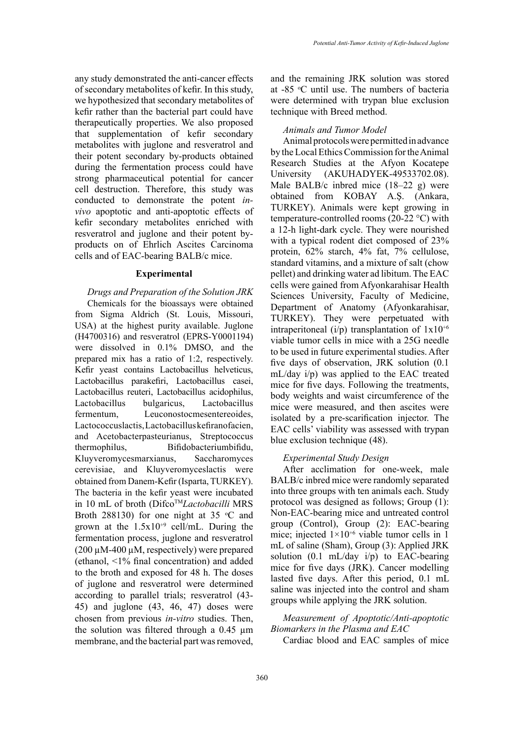any study demonstrated the anti-cancer effects of secondary metabolites of kefir. In this study, we hypothesized that secondary metabolites of kefir rather than the bacterial part could have therapeutically properties. We also proposed that supplementation of kefir secondary metabolites with juglone and resveratrol and their potent secondary by-products obtained during the fermentation process could have strong pharmaceutical potential for cancer cell destruction. Therefore, this study was conducted to demonstrate the potent *invivo* apoptotic and anti-apoptotic effects of kefir secondary metabolites enriched with resveratrol and juglone and their potent byproducts on of Ehrlich Ascites Carcinoma cells and of EAC-bearing BALB/c mice.

#### **Experimental**

*Drugs and Preparation of the Solution JRK* Chemicals for the bioassays were obtained from Sigma Aldrich (St. Louis, Missouri, USA) at the highest purity available. Juglone (H4700316) and resveratrol (EPRS-Y0001194) were dissolved in 0.1% DMSO, and the prepared mix has a ratio of 1:2, respectively. Kefir yeast contains Lactobacillus helveticus, Lactobacillus parakefiri, Lactobacillus casei, Lactobacillus reuteri, Lactobacillus acidophilus, Lactobacillus bulgaricus, Lactobacillus fermentum, Leuconostocmesentereoides, Lactococcuslactis, Lactobacillus kefiranofacien, and Acetobacterpasteurianus, Streptococcus thermophilus, Bifidobacteriumbifidu, Kluyveromycesmarxianus, Saccharomyces cerevisiae, and Kluyveromyceslactis were obtained from Danem-Kefir (Isparta, TURKEY). The bacteria in the kefir yeast were incubated in 10 mL of broth (DifcoTM*Lactobacilli* MRS Broth 288130) for one night at 35  $\degree$ C and grown at the  $1.5x10^{+9}$  cell/mL. During the fermentation process, juglone and resveratrol  $(200 \mu M-400 \mu M,$  respectively) were prepared (ethanol, <1% final concentration) and added to the broth and exposed for 48 h. The doses of juglone and resveratrol were determined according to parallel trials; resveratrol (43- 45) and juglone (43, 46, 47) doses were chosen from previous *in-vitro* studies. Then, the solution was filtered through a 0.45 µm membrane, and the bacterial part was removed,

and the remaining JRK solution was stored at -85 °C until use. The numbers of bacteria were determined with trypan blue exclusion technique with Breed method.

## *Animals and Tumor Model*

Animal protocols were permitted in advance by the Local Ethics Commission for the Animal Research Studies at the Afyon Kocatepe University (AKUHADYEK-49533702.08). Male BALB/c inbred mice (18–22 g) were obtained from KOBAY A.Ş. (Ankara, TURKEY). Animals were kept growing in temperature-controlled rooms (20-22 °C) with a 12-h light-dark cycle. They were nourished with a typical rodent diet composed of 23% protein, 62% starch, 4% fat, 7% cellulose, standard vitamins, and a mixture of salt (chow pellet) and drinking water ad libitum. The EAC cells were gained from Afyonkarahisar Health Sciences University, Faculty of Medicine, Department of Anatomy (Afyonkarahisar, TURKEY). They were perpetuated with intraperitoneal (i/p) transplantation of  $1x10^{+6}$ viable tumor cells in mice with a 25G needle to be used in future experimental studies. After five days of observation, JRK solution (0.1 mL/day i/p) was applied to the EAC treated mice for five days. Following the treatments, body weights and waist circumference of the mice were measured, and then ascites were isolated by a pre-scarification injector. The EAC cells' viability was assessed with trypan blue exclusion technique (48).

## *Experimental Study Design*

After acclimation for one-week, male BALB/c inbred mice were randomly separated into three groups with ten animals each. Study protocol was designed as follows; Group (1): Non-EAC-bearing mice and untreated control group (Control), Group (2): EAC-bearing mice; injected  $1 \times 10^{+6}$  viable tumor cells in 1 mL of saline (Sham), Group (3): Applied JRK solution  $(0.1 \text{ mL/day } i/p)$  to EAC-bearing mice for five days (JRK). Cancer modelling lasted five days. After this period, 0.1 mL saline was injected into the control and sham groups while applying the JRK solution.

# *Measurement of Apoptotic/Anti-apoptotic Biomarkers in the Plasma and EAC*

Cardiac blood and EAC samples of mice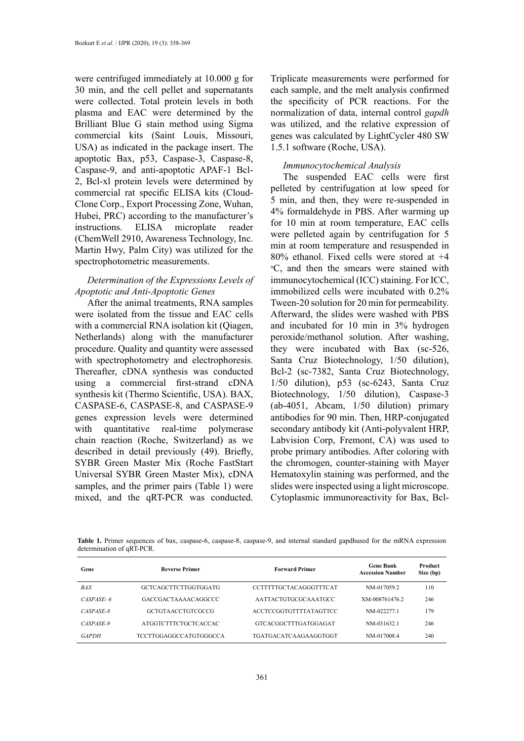were centrifuged immediately at 10.000 g for 30 min, and the cell pellet and supernatants were collected. Total protein levels in both plasma and EAC were determined by the Brilliant Blue G stain method using Sigma commercial kits (Saint Louis, Missouri, USA) as indicated in the package insert. The apoptotic Bax, p53, Caspase-3, Caspase-8, Caspase-9, and anti-apoptotic APAF-1 Bcl-2, Bcl-xl protein levels were determined by commercial rat specific ELISA kits (Cloud-Clone Corp., Export Processing Zone, Wuhan, Hubei, PRC) according to the manufacturer's instructions. ELISA microplate reader (ChemWell 2910, Awareness Technology, Inc. Martin Hwy, Palm City) was utilized for the spectrophotometric measurements.

# *Determination of the Expressions Levels of Apoptotic and Anti-Apoptotic Genes*

After the animal treatments, RNA samples were isolated from the tissue and EAC cells with a commercial RNA isolation kit (Oiagen, Netherlands) along with the manufacturer procedure. Quality and quantity were assessed with spectrophotometry and electrophoresis. Thereafter, cDNA synthesis was conducted using a commercial first-strand cDNA synthesis kit (Thermo Scientific, USA). BAX, CASPASE-6, CASPASE-8, and CASPASE-9 genes expression levels were determined with quantitative real-time polymerase chain reaction (Roche, Switzerland) as we described in detail previously (49). Briefly, SYBR Green Master Mix (Roche FastStart Universal SYBR Green Master Mix), cDNA samples, and the primer pairs (Table 1) were mixed, and the qRT-PCR was conducted.

Triplicate measurements were performed for each sample, and the melt analysis confirmed the specificity of PCR reactions. For the normalization of data, internal control *gapdh* was utilized, and the relative expression of genes was calculated by LightCycler 480 SW 1.5.1 software (Roche, USA).

# *Immunocytochemical Analysis*

The suspended EAC cells were first pelleted by centrifugation at low speed for 5 min, and then, they were re-suspended in 4% formaldehyde in PBS. After warming up for 10 min at room temperature, EAC cells were pelleted again by centrifugation for 5 min at room temperature and resuspended in 80% ethanol. Fixed cells were stored at +4 o C, and then the smears were stained with immunocytochemical (ICC) staining. For ICC, immobilized cells were incubated with 0.2% Tween-20 solution for 20 min for permeability. Afterward, the slides were washed with PBS and incubated for 10 min in 3% hydrogen peroxide/methanol solution. After washing, they were incubated with Bax (sc-526, Santa Cruz Biotechnology, 1/50 dilution), Bcl-2 (sc-7382, Santa Cruz Biotechnology, 1/50 dilution), p53 (sc-6243, Santa Cruz Biotechnology, 1/50 dilution), Caspase-3 (ab-4051, Abcam, 1/50 dilution) primary antibodies for 90 min. Then, HRP-conjugated secondary antibody kit (Anti-polyvalent HRP, Labvision Corp, Fremont, CA) was used to probe primary antibodies. After coloring with the chromogen, counter-staining with Mayer Hematoxylin staining was performed, and the slides were inspected using a light microscope. Cytoplasmic immunoreactivity for Bax, Bcl-

 $\mathcal{L}=\mathcal{L}$ **Table 1.** Primer sequences of bax, caspase-6, caspase-8, caspase-9, and internal standard gapdhused for the mRNA expression determination of *aRT-PCR*.

| Gene         | <b>Reverse Primer</b>         | <b>Forward Primer</b>         | <b>Gene Bank</b><br><b>Accession Number</b> | Product<br>Size (bp) |
|--------------|-------------------------------|-------------------------------|---------------------------------------------|----------------------|
| <b>BAX</b>   | GCTCAGCTTCTTGGTGGATG          | CCTTTTTGCTACAGGGTTTCAT        | NM-017059.2                                 | 110                  |
| $CASPASE-6$  | GACCGACTAAAACAGGCCC           | AATTACTGTGCGCAAATGCC          | XM-0087614762                               | 246                  |
| CASPASE-8    | <b>GCTGTAACCTGTCGCCG</b>      | <b>ACCTCCGGTGTTTTATAGTTCC</b> | NM-022277.1                                 | 179                  |
| CASPASE-9    | ATGGTCTTTCTGCTCACCAC          | GTCACGGCTTTGATGGAGAT          | NM-031632.1                                 | 246                  |
| <b>GAPDH</b> | <b>TCCTTGGAGGCCATGTGGGCCA</b> | TGATGACATCAAGAAGGTGGT         | NM-0170084                                  | 240                  |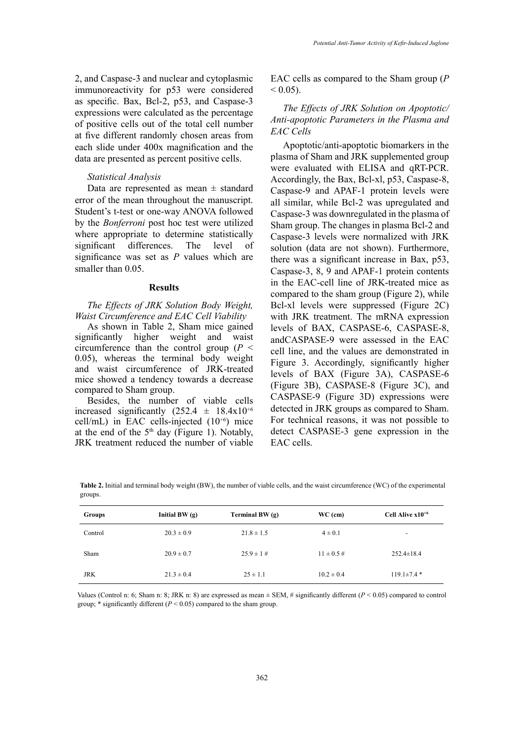2, and Caspase-3 and nuclear and cytoplasmic immunoreactivity for p53 were considered as specific. Bax, Bcl-2, p53, and Caspase-3 expressions were calculated as the percentage of positive cells out of the total cell number at five different randomly chosen areas from each slide under 400x magnification and the data are presented as percent positive cells.

## *Statistical Analysis*

Data are represented as mean  $\pm$  standard error of the mean throughout the manuscript. Student's t-test or one-way ANOVA followed by the *Bonferroni* post hoc test were utilized where appropriate to determine statistically significant differences. The level of significance was set as *P* values which are smaller than 0.05.

## **Results**

*The Effects of JRK Solution Body Weight, Waist Circumference and EAC Cell Viability*

As shown in Table 2, Sham mice gained significantly higher weight and waist circumference than the control group (*P* < 0.05), whereas the terminal body weight and waist circumference of JRK-treated mice showed a tendency towards a decrease compared to Sham group.

Besides, the number of viable cells increased significantly  $(252.4 \pm 18.4 \times 10^{+6})$ cell/mL) in EAC cells-injected  $(10^{+6})$  mice at the end of the  $5<sup>th</sup>$  day (Figure 1). Notably, JRK treatment reduced the number of viable

EAC cells as compared to the Sham group (*P*   $< 0.05$ ).

## *The Effects of JRK Solution on Apoptotic/ Anti-apoptotic Parameters in the Plasma and EAC Cells*

Apoptotic/anti-apoptotic biomarkers in the plasma of Sham and JRK supplemented group were evaluated with ELISA and qRT-PCR. Accordingly, the Bax, Bcl-xl, p53, Caspase-8, Caspase-9 and APAF-1 protein levels were all similar, while Bcl-2 was upregulated and Caspase-3 was downregulated in the plasma of Sham group. The changes in plasma Bcl-2 and Caspase-3 levels were normalized with JRK solution (data are not shown). Furthermore, there was a significant increase in Bax, p53, Caspase-3, 8, 9 and APAF-1 protein contents in the EAC-cell line of JRK-treated mice as compared to the sham group (Figure 2), while Bcl-xl levels were suppressed (Figure 2C) with JRK treatment. The mRNA expression levels of BAX, CASPASE-6, CASPASE-8, andCASPASE-9 were assessed in the EAC cell line, and the values are demonstrated in Figure 3. Accordingly, significantly higher levels of BAX (Figure 3A), CASPASE-6 (Figure 3B), CASPASE-8 (Figure 3C), and CASPASE-9 (Figure 3D) expressions were detected in JRK groups as compared to Sham. For technical reasons, it was not possible to detect CASPASE-3 gene expression in the EAC cells.

**Table 2.** Initial and terminal body weight (BW), the number of viable cells, and the experimental groups. **Table 2.** Initial and terminal body weight (BW), the number of viable cells, and the waist circumference (WC) of the experimental groups.

| Groups     | Initial $BW(g)$ | Terminal BW $(q)$ | $WC$ (cm)       | Cell Alive $x10^{+6}$    |
|------------|-----------------|-------------------|-----------------|--------------------------|
| Control    | $20.3 \pm 0.9$  | $21.8 \pm 1.5$    | $4 \pm 0.1$     | $\overline{\phantom{a}}$ |
| Sham       | $20.9 \pm 0.7$  | $25.9 \pm 1$ #    | $11 \pm 0.5 \#$ | $252.4 \pm 18.4$         |
| <b>JRK</b> | $21.3 \pm 0.4$  | $25 \pm 1.1$      | $10.2 \pm 0.4$  | $119.1\pm7.4*$           |

group; \* significantly different  $(P < 0.05)$  compared to the sham group. Values (Control n: 6; Sham n: 8; JRK n: 8) are expressed as mean  $\pm$  SEM, # significantly different ( $P < 0.05$ ) compared to control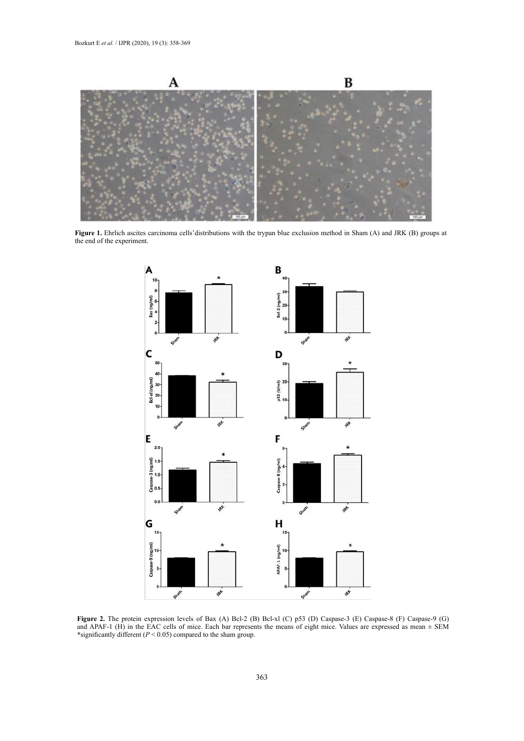

**Figure 1.** Ehrlich ascites carcinoma cells'distributions with the trypan blue exclusion method in Sham (A) and JRK (B) groups at the end of the experiment.



**Figure 2.** The protein expression levels of Bax (A) Bcl-2 (D) Bcl-xl (C) p33 (D) Caspase-3 (E) Caspase-8 (F) Caspa the EAC cells of microscopic means of the means of the sham group.  $\frac{1}{2}$  since  $\frac{1}{2}$  since  $\frac{1}{2}$  since  $\frac{1}{2}$  since  $\frac{1}{2}$  since  $\frac{1}{2}$  since  $\frac{1}{2}$  since  $\frac{1}{2}$  since  $\frac{1}{2}$  since  $\frac{1}{2}$  **Figure 2.** The protein expression levels of Bax (A) Bcl-2 (B) Bcl-xl (C) p53 (D) Caspase-3 (E) Caspase-8 (F) Caspase-9 (G) and APAF-1 (H) in the EAC cells of mice. Each bar represents the means of eight mice. Values are expressed as mean  $\pm$  SEM **\***significantly different (*P* < 0.05) compared to the sham group.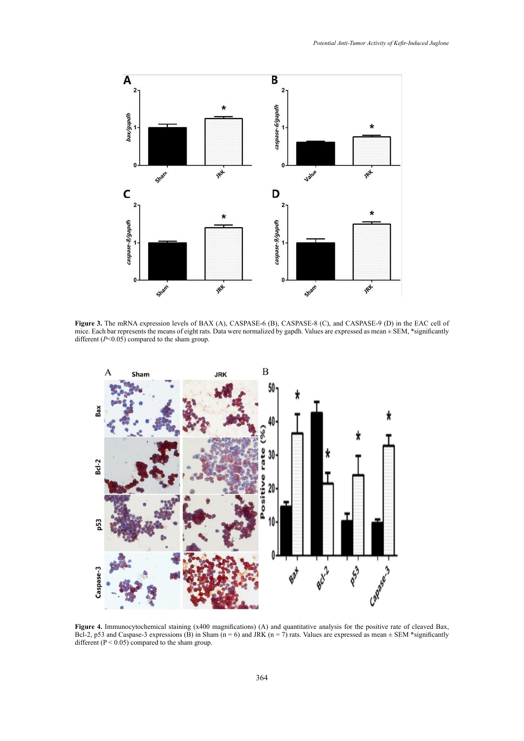

Figure 3. The mRNA expression levels of BAX (A), CASPASE-6 (B), CASPASE-8 (C), and CASPASE-9 (D) in the EAC cell of mice. Each bar represents the means of eight rats. Data were normalized by gapdh. Values are expressed as mean ± SEM, \*significantly different (*P*<0.05) compared to the sham group.



Bcl-2, p53 and Caspase-3 expressions (B) in Sham ( $n = 6$ ) and JRK ( $n = 7$ ) rats. Values are expressed as mean  $\pm$  SEM \*significantly  $\mathcal{C}$  in Sham (n = 7) rats. Values are expressed as mean  $\mathcal{C}$  in  $\mathcal{C}$  in  $\mathcal{C}$ **Figure 4.** Immunocytochemical staining (x400 magnifications) (A) and quantitative analysis for the positive rate of cleaved Bax, different ( $P < 0.05$ ) compared to the sham group.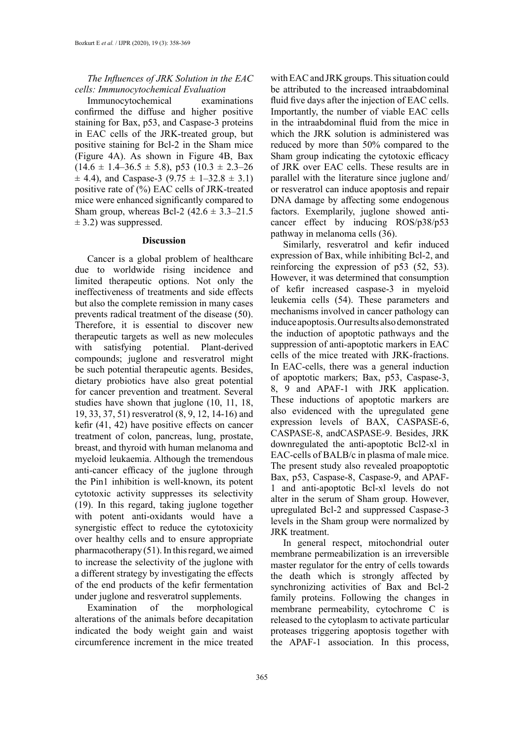## *The Influences of JRK Solution in the EAC cells: Immunocytochemical Evaluation*

Immunocytochemical examinations confirmed the diffuse and higher positive staining for Bax, p53, and Caspase-3 proteins in EAC cells of the JRK-treated group, but positive staining for Bcl-2 in the Sham mice (Figure 4A). As shown in Figure 4B, Bax  $(14.6 \pm 1.4 - 36.5 \pm 5.8)$ , p53  $(10.3 \pm 2.3 - 26)$  $\pm$  4.4), and Caspase-3 (9.75  $\pm$  1–32.8  $\pm$  3.1) positive rate of (%) EAC cells of JRK-treated mice were enhanced significantly compared to Sham group, whereas Bcl-2  $(42.6 \pm 3.3 - 21.5)$  $\pm$  3.2) was suppressed.

## **Discussion**

Cancer is a global problem of healthcare due to worldwide rising incidence and limited therapeutic options. Not only the ineffectiveness of treatments and side effects but also the complete remission in many cases prevents radical treatment of the disease (50). Therefore, it is essential to discover new therapeutic targets as well as new molecules with satisfying potential. Plant-derived compounds; juglone and resveratrol might be such potential therapeutic agents. Besides, dietary probiotics have also great potential for cancer prevention and treatment. Several studies have shown that juglone (10, 11, 18, 19, 33, 37, 51) resveratrol (8, 9, 12, 14-16) and kefir (41, 42) have positive effects on cancer treatment of colon, pancreas, lung, prostate, breast, and thyroid with human melanoma and myeloid leukaemia. Although the tremendous anti-cancer efficacy of the juglone through the Pin1 inhibition is well-known, its potent cytotoxic activity suppresses its selectivity (19). In this regard, taking juglone together with potent anti-oxidants would have a synergistic effect to reduce the cytotoxicity over healthy cells and to ensure appropriate pharmacotherapy (51). In this regard, we aimed to increase the selectivity of the juglone with a different strategy by investigating the effects of the end products of the kefir fermentation under juglone and resveratrol supplements.

Examination of the morphological alterations of the animals before decapitation indicated the body weight gain and waist circumference increment in the mice treated

with EAC and JRK groups. This situation could be attributed to the increased intraabdominal fluid five days after the injection of EAC cells. Importantly, the number of viable EAC cells in the intraabdominal fluid from the mice in which the JRK solution is administered was reduced by more than 50% compared to the Sham group indicating the cytotoxic efficacy of JRK over EAC cells. These results are in parallel with the literature since juglone and/ or resveratrol can induce apoptosis and repair DNA damage by affecting some endogenous factors. Exemplarily, juglone showed anticancer effect by inducing ROS/p38/p53 pathway in melanoma cells (36).

Similarly, resveratrol and kefir induced expression of Bax, while inhibiting Bcl-2, and reinforcing the expression of p53 (52, 53). However, it was determined that consumption of kefir increased caspase-3 in myeloid leukemia cells (54). These parameters and mechanisms involved in cancer pathology can induce apoptosis. Our results also demonstrated the induction of apoptotic pathways and the suppression of anti-apoptotic markers in EAC cells of the mice treated with JRK-fractions. In EAC-cells, there was a general induction of apoptotic markers; Bax, p53, Caspase-3, 8, 9 and APAF-1 with JRK application. These inductions of apoptotic markers are also evidenced with the upregulated gene expression levels of BAX, CASPASE-6, CASPASE-8, andCASPASE-9. Besides, JRK downregulated the anti-apoptotic Bcl2-xl in EAC-cells of BALB/c in plasma of male mice. The present study also revealed proapoptotic Bax, p53, Caspase-8, Caspase-9, and APAF-1 and anti-apoptotic Bcl-xl levels do not alter in the serum of Sham group. However, upregulated Bcl-2 and suppressed Caspase-3 levels in the Sham group were normalized by JRK treatment.

In general respect, mitochondrial outer membrane permeabilization is an irreversible master regulator for the entry of cells towards the death which is strongly affected by synchronizing activities of Bax and Bcl-2 family proteins. Following the changes in membrane permeability, cytochrome C is released to the cytoplasm to activate particular proteases triggering apoptosis together with the APAF-1 association. In this process,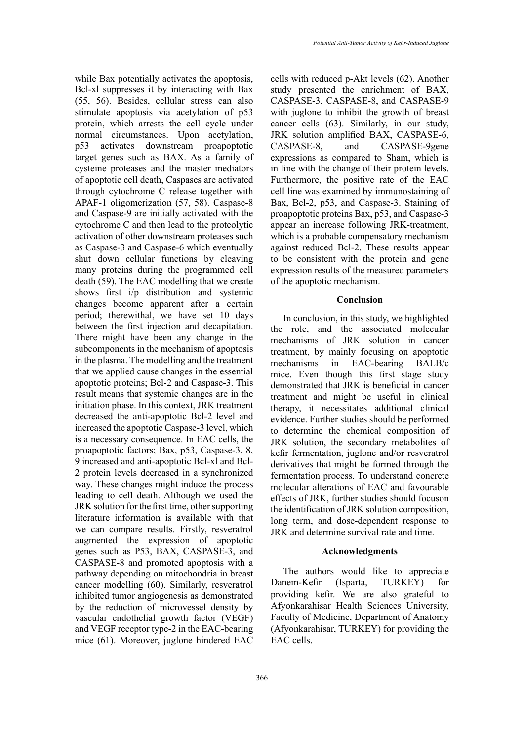while Bax potentially activates the apoptosis, Bcl-xl suppresses it by interacting with Bax (55, 56). Besides, cellular stress can also stimulate apoptosis via acetylation of p53 protein, which arrests the cell cycle under normal circumstances. Upon acetylation, p53 activates downstream proapoptotic target genes such as BAX. As a family of cysteine proteases and the master mediators of apoptotic cell death, Caspases are activated through cytochrome C release together with APAF-1 oligomerization (57, 58). Caspase-8 and Caspase-9 are initially activated with the cytochrome C and then lead to the proteolytic activation of other downstream proteases such as Caspase-3 and Caspase-6 which eventually shut down cellular functions by cleaving many proteins during the programmed cell death (59). The EAC modelling that we create shows first i/p distribution and systemic changes become apparent after a certain period; therewithal, we have set 10 days between the first injection and decapitation. There might have been any change in the subcomponents in the mechanism of apoptosis in the plasma. The modelling and the treatment that we applied cause changes in the essential apoptotic proteins; Bcl-2 and Caspase-3. This result means that systemic changes are in the initiation phase. In this context, JRK treatment decreased the anti-apoptotic Bcl-2 level and increased the apoptotic Caspase-3 level, which is a necessary consequence. In EAC cells, the proapoptotic factors; Bax, p53, Caspase-3, 8, 9 increased and anti-apoptotic Bcl-xl and Bcl-2 protein levels decreased in a synchronized way. These changes might induce the process leading to cell death. Although we used the JRK solution for the first time, other supporting literature information is available with that we can compare results. Firstly, resveratrol augmented the expression of apoptotic genes such as P53, BAX, CASPASE-3, and CASPASE-8 and promoted apoptosis with a pathway depending on mitochondria in breast cancer modelling (60). Similarly, resveratrol inhibited tumor angiogenesis as demonstrated by the reduction of microvessel density by vascular endothelial growth factor (VEGF) and VEGF receptor type-2 in the EAC-bearing mice (61). Moreover, juglone hindered EAC

cells with reduced p-Akt levels (62). Another study presented the enrichment of BAX, CASPASE-3, CASPASE-8, and CASPASE-9 with juglone to inhibit the growth of breast cancer cells (63). Similarly, in our study, JRK solution amplified BAX, CASPASE-6, CASPASE-8, and CASPASE-9gene expressions as compared to Sham, which is in line with the change of their protein levels. Furthermore, the positive rate of the EAC cell line was examined by immunostaining of Bax, Bcl-2, p53, and Caspase-3. Staining of proapoptotic proteins Bax, p53, and Caspase-3 appear an increase following JRK-treatment, which is a probable compensatory mechanism against reduced Bcl-2. These results appear to be consistent with the protein and gene expression results of the measured parameters of the apoptotic mechanism.

## **Conclusion**

In conclusion, in this study, we highlighted the role, and the associated molecular mechanisms of JRK solution in cancer treatment, by mainly focusing on apoptotic mechanisms in EAC-bearing BALB/c mice. Even though this first stage study demonstrated that JRK is beneficial in cancer treatment and might be useful in clinical therapy, it necessitates additional clinical evidence. Further studies should be performed to determine the chemical composition of JRK solution, the secondary metabolites of kefir fermentation, juglone and/or resveratrol derivatives that might be formed through the fermentation process. To understand concrete molecular alterations of EAC and favourable effects of JRK, further studies should focuson the identification of JRK solution composition, long term, and dose-dependent response to JRK and determine survival rate and time.

## **Acknowledgments**

The authors would like to appreciate Danem-Kefir (Isparta, TURKEY) for providing kefir. We are also grateful to Afyonkarahisar Health Sciences University, Faculty of Medicine, Department of Anatomy (Afyonkarahisar, TURKEY) for providing the EAC cells.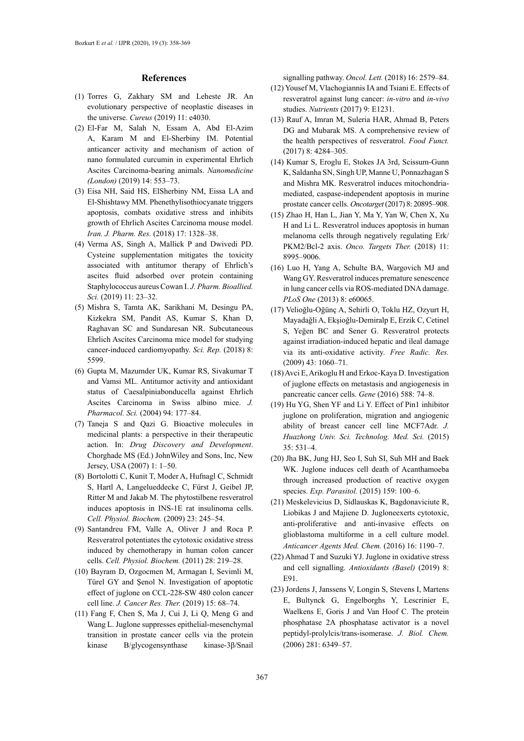#### **References**

- (1) Torres G, Zakhary SM and Leheste JR. An evolutionary perspective of neoplastic diseases in the universe. *Cureus* (2019) 11: e4030.
- (2) El-Far M, Salah N, Essam A, Abd El-Azim A, Karam M and El-Sherbiny IM. Potential anticancer activity and mechanism of action of nano formulated curcumin in experimental Ehrlich Ascites Carcinoma-bearing animals. *Nanomedicine (London)* (2019) 14: 553–73.
- (3) Eisa NH, Said HS, ElSherbiny NM, Eissa LA and El-Shishtawy MM. Phenethylisothiocyanate triggers apoptosis, combats oxidative stress and inhibits growth of Ehrlich Ascites Carcinoma mouse model. *Iran. J. Pharm. Res.* (2018) 17: 1328–38.
- (4) Verma AS, Singh A, Mallick P and Dwivedi PD. Cysteine supplementation mitigates the toxicity associated with antitumor therapy of Ehrlich's ascites fluid adsorbed over protein containing Staphylococcus aureus Cowan I. *J. Pharm. Bioallied. Sci.* (2019) 11: 23–32.
- (5) Mishra S, Tamta AK, Sarikhani M, Desingu PA, Kizkekra SM, Pandit AS, Kumar S, Khan D, Raghavan SC and Sundaresan NR. Subcutaneous Ehrlich Ascites Carcinoma mice model for studying cancer-induced cardiomyopathy. *Sci. Rep.* (2018) 8: 5599.
- (6) Gupta M, Mazumder UK, Kumar RS, Sivakumar T and Vamsi ML. Antitumor activity and antioxidant status of Caesalpiniabonducella against Ehrlich Ascites Carcinoma in Swiss albino mice. *J. Pharmacol. Sci.* (2004) 94: 177–84.
- (7) Taneja S and Qazi G. Bioactive molecules in medicinal plants: a perspective in their therapeutic action. In: *Drug Discovery and Development*. Chorghade MS (Ed.) JohnWiley and Sons, Inc, New Jersey, USA (2007) 1: 1–50.
- (8) Bortolotti C, Kunit T, Moder A, Hufnagl C, Schmidt S, Hartl A, Langelueddecke C, Fürst J, Geibel JP, Ritter M and Jakab M. The phytostilbene resveratrol induces apoptosis in INS-1E rat insulinoma cells. *Cell. Physiol. Biochem.* (2009) 23: 245–54.
- (9) Santandreu FM, Valle A, Oliver J and Roca P. Resveratrol potentiates the cytotoxic oxidative stress induced by chemotherapy in human colon cancer cells. *Cell. Physiol. Biochem.* (2011) 28: 219–28.
- (10) Bayram D, Ozgocmen M, Armagan I, Sevimli M, Türel GY and Şenol N. Investigation of apoptotic effect of juglone on CCL-228-SW 480 colon cancer cell line. *J. Cancer Res. Ther.* (2019) 15: 68–74.
- (11) Fang F, Chen S, Ma J, Cui J, Li Q, Meng G and Wang L. Juglone suppresses epithelial-mesenchymal transition in prostate cancer cells via the protein kinase B/glycogensynthase kinase-3β/Snail

signalling pathway. *Oncol. Lett.* (2018) 16: 2579–84.

- (12) Yousef M, Vlachogiannis IA and Tsiani E. Effects of resveratrol against lung cancer: *in-vitro* and *in-vivo* studies. *Nutrients* (2017) 9: E1231.
- (13) Rauf A, Imran M, Suleria HAR, Ahmad B, Peters DG and Mubarak MS. A comprehensive review of the health perspectives of resveratrol. *Food Funct.*  (2017) 8: 4284–305.
- (14) Kumar S, Eroglu E, Stokes JA 3rd, Scissum-Gunn K, Saldanha SN, Singh UP, Manne U, Ponnazhagan S and Mishra MK. Resveratrol induces mitochondriamediated, caspase-independent apoptosis in murine prostate cancer cells. *Oncotarget* (2017) 8: 20895–908.
- (15) Zhao H, Han L, Jian Y, Ma Y, Yan W, Chen X, Xu H and Li L. Resveratrol induces apoptosis in human melanoma cells through negatively regulating Erk/ PKM2/Bcl-2 axis. *Onco. Targets Ther.* (2018) 11: 8995–9006.
- (16) Luo H, Yang A, Schulte BA, Wargovich MJ and Wang GY. Resveratrol induces premature senescence in lung cancer cells via ROS-mediated DNA damage. *PLoS One* (2013) 8: e60065.
- (17) Velioğlu-Oğünç A, Sehirli O, Toklu HZ, Ozyurt H, Mayadağli A, Ekşioğlu-Demiralp E, Erzik C, Cetinel S, Yeğen BC and Sener G. Resveratrol protects against irradiation-induced hepatic and ileal damage via its anti-oxidative activity. *Free Radic. Res.*  (2009) 43: 1060–71.
- (18) Avci E, Arikoglu H and Erkoc-Kaya D. Investigation of juglone effects on metastasis and angiogenesis in pancreatic cancer cells. *Gene* (2016) 588: 74–8.
- (19) Hu YG, Shen YF and Li Y. Effect of Pin1 inhibitor juglone on proliferation, migration and angiogenic ability of breast cancer cell line MCF7Adr. *J. Huazhong Univ. Sci. Technolog. Med. Sci.* (2015) 35: 531–4.
- (20) Jha BK, Jung HJ, Seo I, Suh SI, Suh MH and Baek WK. Juglone induces cell death of Acanthamoeba through increased production of reactive oxygen species. *Exp. Parasitol.* (2015) 159: 100–6.
- (21) Meskelevicius D, Sidlauskas K, Bagdonaviciute R, Liobikas J and Majiene D. Jugloneexerts cytotoxic, anti-proliferative and anti-invasive effects on glioblastoma multiforme in a cell culture model. *Anticancer Agents Med. Chem.* (2016) 16: 1190–7.
- (22) Ahmad T and Suzuki YJ. Juglone in oxidative stress and cell signalling. *Antioxidants (Basel)* (2019) 8: E91.
- (23) Jordens J, Janssens V, Longin S, Stevens I, Martens E, Bultynck G, Engelborghs Y, Lescrinier E, Waelkens E, Goris J and Van Hoof C. The protein phosphatase 2A phosphatase activator is a novel peptidyl-prolylcis/trans-isomerase. *J. Biol. Chem.*  (2006) 281: 6349–57.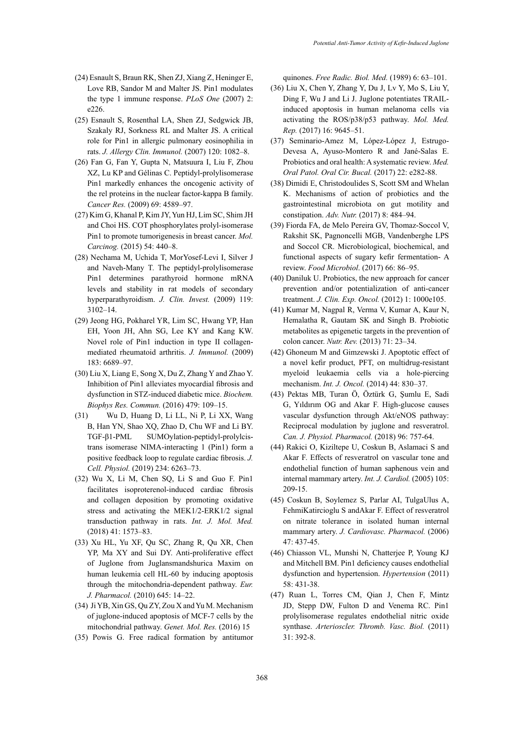- (24) Esnault S, Braun RK, Shen ZJ, Xiang Z, Heninger E, Love RB, Sandor M and Malter JS. Pin1 modulates the type 1 immune response. *PLoS One* (2007) 2: e226.
- (25) Esnault S, Rosenthal LA, Shen ZJ, Sedgwick JB, Szakaly RJ, Sorkness RL and Malter JS. A critical role for Pin1 in allergic pulmonary eosinophilia in rats. *J. Allergy Clin. Immunol.* (2007) 120: 1082–8.
- (26) Fan G, Fan Y, Gupta N, Matsuura I, Liu F, Zhou XZ, Lu KP and Gélinas C. Peptidyl-prolylisomerase Pin1 markedly enhances the oncogenic activity of the rel proteins in the nuclear factor-kappa B family. *Cancer Res.* (2009) 69: 4589–97.
- (27) Kim G, Khanal P, Kim JY, Yun HJ, Lim SC, Shim JH and Choi HS. COT phosphorylates prolyl-isomerase Pin1 to promote tumorigenesis in breast cancer. *Mol. Carcinog.* (2015) 54: 440–8.
- (28) Nechama M, Uchida T, MorYosef-Levi I, Silver J and Naveh-Many T. The peptidyl-prolylisomerase Pin1 determines parathyroid hormone mRNA levels and stability in rat models of secondary hyperparathyroidism. *J. Clin. Invest.* (2009) 119: 3102–14.
- (29) Jeong HG, Pokharel YR, Lim SC, Hwang YP, Han EH, Yoon JH, Ahn SG, Lee KY and Kang KW. Novel role of Pin1 induction in type II collagenmediated rheumatoid arthritis. *J. Immunol.* (2009) 183: 6689–97.
- (30) Liu X, Liang E, Song X, Du Z, Zhang Y and Zhao Y. Inhibition of Pin1 alleviates myocardial fibrosis and dysfunction in STZ-induced diabetic mice. *Biochem. Biophys Res. Commun.* (2016) 479: 109–15.
- (31) Wu D, Huang D, Li LL, Ni P, Li XX, Wang B, Han YN, Shao XQ, Zhao D, Chu WF and Li BY. TGF-β1-PML SUMOylation-peptidyl-prolylcistrans isomerase NIMA-interacting 1 (Pin1) form a positive feedback loop to regulate cardiac fibrosis. *J. Cell. Physiol.* (2019) 234: 6263–73.
- (32) Wu X, Li M, Chen SQ, Li S and Guo F. Pin1 facilitates isoproterenol-induced cardiac fibrosis and collagen deposition by promoting oxidative stress and activating the MEK1/2-ERK1/2 signal transduction pathway in rats. *Int. J. Mol. Med.*  (2018) 41: 1573–83.
- (33) Xu HL, Yu XF, Qu SC, Zhang R, Qu XR, Chen YP, Ma XY and Sui DY. Anti-proliferative effect of Juglone from Juglansmandshurica Maxim on human leukemia cell HL-60 by inducing apoptosis through the mitochondria-dependent pathway. *Eur. J. Pharmacol.* (2010) 645: 14–22.
- (34) Ji YB, Xin GS, Qu ZY, Zou X and Yu M. Mechanism of juglone-induced apoptosis of MCF-7 cells by the mitochondrial pathway. *Genet. Mol. Res.* (2016) 15
- (35) Powis G. Free radical formation by antitumor

quinones. *Free Radic. Biol. Med.* (1989) 6: 63–101.

- (36) Liu X, Chen Y, Zhang Y, Du J, Lv Y, Mo S, Liu Y, Ding F, Wu J and Li J. Juglone potentiates TRAILinduced apoptosis in human melanoma cells via activating the ROS/p38/p53 pathway. *Mol. Med. Rep.* (2017) 16: 9645–51.
- (37) Seminario-Amez M, López-López J, Estrugo-Devesa A, Ayuso-Montero R and Jané-Salas E. Probiotics and oral health: A systematic review. *Med. Oral Patol. Oral Cir. Bucal.* (2017) 22: e282-88.
- (38) Dimidi E, Christodoulides S, Scott SM and Whelan K. Mechanisms of action of probiotics and the gastrointestinal microbiota on gut motility and constipation. *Adv. Nutr.* (2017) 8: 484–94.
- (39) Fiorda FA, de Melo Pereira GV, Thomaz-Soccol V, Rakshit SK, Pagnoncelli MGB, Vandenberghe LPS and Soccol CR. Microbiological, biochemical, and functional aspects of sugary kefir fermentation- A review. *Food Microbiol*. (2017) 66: 86–95.
- (40) Daniluk U. Probiotics, the new approach for cancer prevention and/or potentialization of anti-cancer treatment. *J. Clin. Exp. Oncol.* (2012) 1: 1000e105.
- (41) Kumar M, Nagpal R, Verma V, Kumar A, Kaur N, Hemalatha R, Gautam SK and Singh B. Probiotic metabolites as epigenetic targets in the prevention of colon cancer. *Nutr. Rev.* (2013) 71: 23–34.
- (42) Ghoneum M and Gimzewski J. Apoptotic effect of a novel kefir product, PFT, on multidrug-resistant myeloid leukaemia cells via a hole-piercing mechanism. *Int. J. Oncol.* (2014) 44: 830–37.
- (43) Pektas MB, Turan Ö, Öztürk G, Şumlu E, Sadi G, Yıldırım OG and Akar F. High-glucose causes vascular dysfunction through Akt/eNOS pathway: Reciprocal modulation by juglone and resveratrol. *Can. J. Physiol. Pharmacol.* (2018) 96: 757-64.
- (44) Rakici O, Kiziltepe U, Coskun B, Aslamaci S and Akar F. Effects of resveratrol on vascular tone and endothelial function of human saphenous vein and internal mammary artery. *Int. J. Cardiol.* (2005) 105: 209-15.
- (45) Coskun B, Soylemez S, Parlar AI, TulgaUlus A, FehmiKatircioglu S andAkar F. Effect of resveratrol on nitrate tolerance in isolated human internal mammary artery. *J. Cardiovasc. Pharmacol.* (2006) 47: 437-45.
- (46) Chiasson VL, Munshi N, Chatterjee P, Young KJ and Mitchell BM. Pin1 deficiency causes endothelial dysfunction and hypertension. *Hypertension* (2011) 58: 431-38.
- (47) Ruan L, Torres CM, Qian J, Chen F, Mintz JD, Stepp DW, Fulton D and Venema RC. Pin1 prolylisomerase regulates endothelial nitric oxide synthase. *Arterioscler. Thromb. Vasc. Biol.* (2011) 31: 392-8.